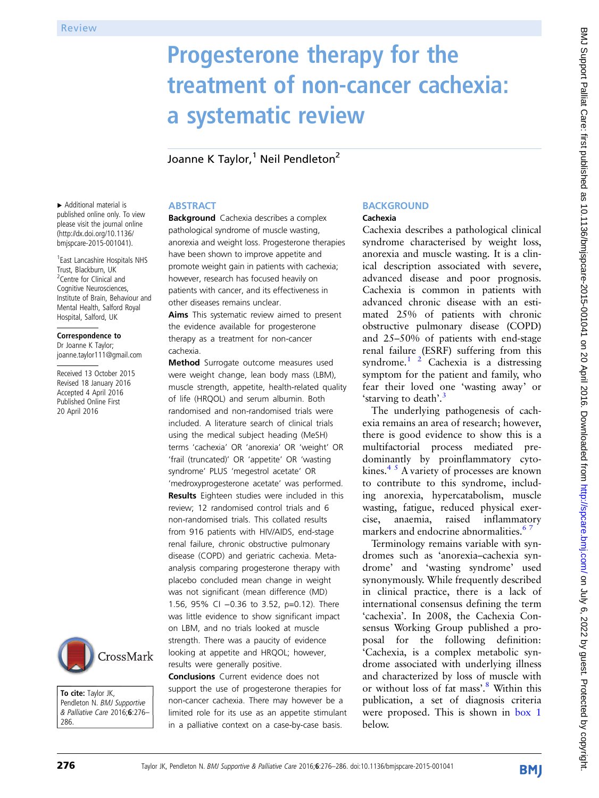# Progesterone therapy for the treatment of non-cancer cachexia: a systematic review

Joanne K Taylor,<sup>1</sup> Neil Pendleton<sup>2</sup>

## **ABSTRACT**

▸ Additional material is published online only. To view please visit the journal online ([http://dx.doi.org/10.1136/](http://dx.doi.org/10.1136/bmjspcare-2015-001041) [bmjspcare-2015-001041](http://dx.doi.org/10.1136/bmjspcare-2015-001041)).

1 East Lancashire Hospitals NHS Trust, Blackburn, UK <sup>2</sup> Centre for Clinical and Cognitive Neurosciences, Institute of Brain, Behaviour and Mental Health, Salford Royal Hospital, Salford, UK

#### Correspondence to

Dr Joanne K Taylor; joanne.taylor111@gmail.com

Received 13 October 2015 Revised 18 January 2016 Accepted 4 April 2016 Published Online First 20 April 2016



To cite: Taylor JK, Pendleton N. BMJ Supportive & Palliative Care 2016;6:276– 286.

## **Background** Cachexia describes a complex pathological syndrome of muscle wasting, anorexia and weight loss. Progesterone therapies have been shown to improve appetite and promote weight gain in patients with cachexia; however, research has focused heavily on patients with cancer, and its effectiveness in other diseases remains unclear.

Aims This systematic review aimed to present the evidence available for progesterone therapy as a treatment for non-cancer cachexia.

Method Surrogate outcome measures used were weight change, lean body mass (LBM), muscle strength, appetite, health-related quality of life (HRQOL) and serum albumin. Both randomised and non-randomised trials were included. A literature search of clinical trials using the medical subject heading (MeSH) terms 'cachexia' OR 'anorexia' OR 'weight' OR 'frail (truncated)' OR 'appetite' OR 'wasting syndrome' PLUS 'megestrol acetate' OR 'medroxyprogesterone acetate' was performed. Results Eighteen studies were included in this review; 12 randomised control trials and 6 non-randomised trials. This collated results from 916 patients with HIV/AIDS, end-stage renal failure, chronic obstructive pulmonary disease (COPD) and geriatric cachexia. Metaanalysis comparing progesterone therapy with placebo concluded mean change in weight was not significant (mean difference (MD) 1.56, 95% CI −0.36 to 3.52, p=0.12). There was little evidence to show significant impact on LBM, and no trials looked at muscle strength. There was a paucity of evidence looking at appetite and HRQOL; however, results were generally positive.

Conclusions Current evidence does not support the use of progesterone therapies for non-cancer cachexia. There may however be a limited role for its use as an appetite stimulant in a palliative context on a case-by-case basis.

## **BACKGROUND**

## Cachexia

Cachexia describes a pathological clinical syndrome characterised by weight loss, anorexia and muscle wasting. It is a clinical description associated with severe, advanced disease and poor prognosis. Cachexia is common in patients with advanced chronic disease with an estimated 25% of patients with chronic obstructive pulmonary disease (COPD) and 25–50% of patients with end-stage renal failure (ESRF) suffering from this syndrome. $1^2$  Cachexia is a distressing symptom for the patient and family, who fear their loved one 'wasting away' or 'starving to death'.<sup>[3](#page-9-0)</sup>

The underlying pathogenesis of cachexia remains an area of research; however, there is good evidence to show this is a multifactorial process mediated predominantly by proinflammatory cytokines. $4<sup>5</sup>$  A variety of processes are known to contribute to this syndrome, including anorexia, hypercatabolism, muscle wasting, fatigue, reduced physical exercise, anaemia, raised inflammatory markers and endocrine abnormalities.<sup>6</sup>

Terminology remains variable with syndromes such as 'anorexia–cachexia syndrome' and 'wasting syndrome' used synonymously. While frequently described in clinical practice, there is a lack of international consensus defining the term 'cachexia'. In 2008, the Cachexia Consensus Working Group published a proposal for the following definition: 'Cachexia, is a complex metabolic syndrome associated with underlying illness and characterized by loss of muscle with or without loss of fat mass'. [8](#page-9-0) Within this publication, a set of diagnosis criteria were proposed. This is shown in [box 1](#page-1-0) below.

**BMI**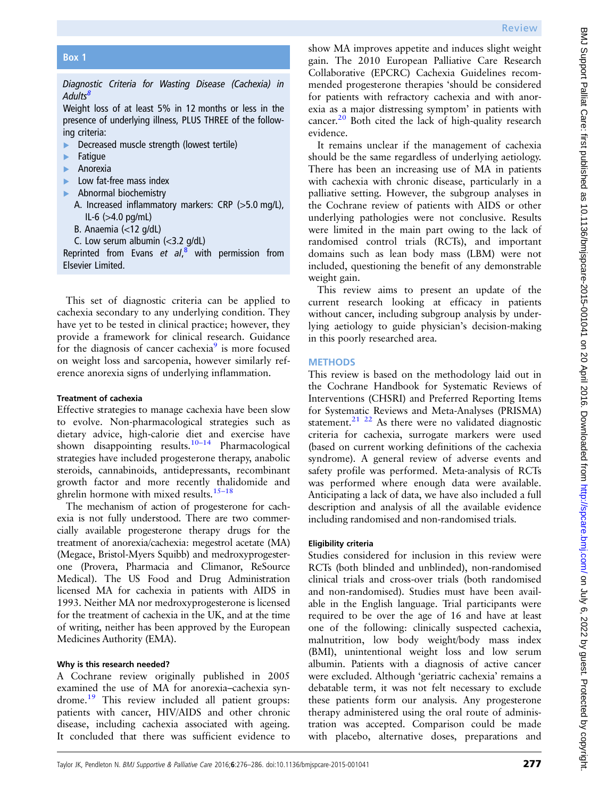<span id="page-1-0"></span>Box 1

Diagnostic Criteria for Wasting Disease (Cachexia) in Adults<sup>[8](#page-9-0)</sup>

Weight loss of at least 5% in 12 months or less in the presence of underlying illness, PLUS THREE of the following criteria:

- ▸ Decreased muscle strength (lowest tertile)
- **Fatigue**
- **Anorexia**
- Low fat-free mass index
- ▸ Abnormal biochemistry
	- A. Increased inflammatory markers: CRP (>5.0 mg/L),  $IL-6$  ( $>4.0$  pg/mL)
	- B. Anaemia (<12 g/dL)
	- C. Low serum albumin  $\left\langle \langle 3.2 \rangle q/dL \right\rangle$

Reprinted from Evans et al,<sup>[8](#page-9-0)</sup> with permission from Elsevier Limited.

This set of diagnostic criteria can be applied to cachexia secondary to any underlying condition. They have yet to be tested in clinical practice; however, they provide a framework for clinical research. Guidance for the diagnosis of cancer cachexia $9$  is more focused on weight loss and sarcopenia, however similarly reference anorexia signs of underlying inflammation.

## Treatment of cachexia

Effective strategies to manage cachexia have been slow to evolve. Non-pharmacological strategies such as dietary advice, high-calorie diet and exercise have shown disappointing results.<sup>[10](#page-9-0)–14</sup> Pharmacological strategies have included progesterone therapy, anabolic steroids, cannabinoids, antidepressants, recombinant growth factor and more recently thalidomide and ghrelin hormone with mixed results. $15-18$  $15-18$ 

The mechanism of action of progesterone for cachexia is not fully understood. There are two commercially available progesterone therapy drugs for the treatment of anorexia/cachexia: megestrol acetate (MA) (Megace, Bristol-Myers Squibb) and medroxyprogesterone (Provera, Pharmacia and Climanor, ReSource Medical). The US Food and Drug Administration licensed MA for cachexia in patients with AIDS in 1993. Neither MA nor medroxyprogesterone is licensed for the treatment of cachexia in the UK, and at the time of writing, neither has been approved by the European Medicines Authority (EMA).

## Why is this research needed?

A Cochrane review originally published in 2005 examined the use of MA for anorexia–cachexia syn-drome.<sup>[19](#page-9-0)</sup> This review included all patient groups: patients with cancer, HIV/AIDS and other chronic disease, including cachexia associated with ageing. It concluded that there was sufficient evidence to

show MA improves appetite and induces slight weight gain. The 2010 European Palliative Care Research Collaborative (EPCRC) Cachexia Guidelines recommended progesterone therapies 'should be considered for patients with refractory cachexia and with anorexia as a major distressing symptom' in patients with cancer. $^{20}$  $^{20}$  $^{20}$  Both cited the lack of high-quality research evidence.

It remains unclear if the management of cachexia should be the same regardless of underlying aetiology. There has been an increasing use of MA in patients with cachexia with chronic disease, particularly in a palliative setting. However, the subgroup analyses in the Cochrane review of patients with AIDS or other underlying pathologies were not conclusive. Results were limited in the main part owing to the lack of randomised control trials (RCTs), and important domains such as lean body mass (LBM) were not included, questioning the benefit of any demonstrable weight gain.

This review aims to present an update of the current research looking at efficacy in patients without cancer, including subgroup analysis by underlying aetiology to guide physician's decision-making in this poorly researched area.

## **METHODS**

This review is based on the methodology laid out in the Cochrane Handbook for Systematic Reviews of Interventions (CHSRI) and Preferred Reporting Items for Systematic Reviews and Meta-Analyses (PRISMA) statement.<sup>[21 22](#page-9-0)</sup> As there were no validated diagnostic criteria for cachexia, surrogate markers were used (based on current working definitions of the cachexia syndrome). A general review of adverse events and safety profile was performed. Meta-analysis of RCTs was performed where enough data were available. Anticipating a lack of data, we have also included a full description and analysis of all the available evidence including randomised and non-randomised trials.

## Eligibility criteria

Studies considered for inclusion in this review were RCTs (both blinded and unblinded), non-randomised clinical trials and cross-over trials (both randomised and non-randomised). Studies must have been available in the English language. Trial participants were required to be over the age of 16 and have at least one of the following: clinically suspected cachexia, malnutrition, low body weight/body mass index (BMI), unintentional weight loss and low serum albumin. Patients with a diagnosis of active cancer were excluded. Although 'geriatric cachexia' remains a debatable term, it was not felt necessary to exclude these patients form our analysis. Any progesterone therapy administered using the oral route of administration was accepted. Comparison could be made with placebo, alternative doses, preparations and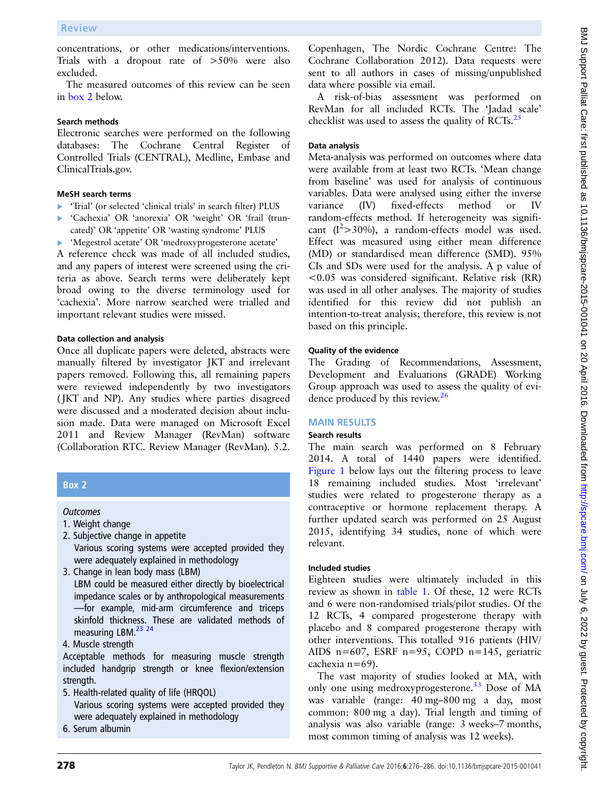concentrations, or other medications/interventions. Trials with a dropout rate of >50% were also excluded.

The measured outcomes of this review can be seen in box 2 below.

#### Search methods

Electronic searches were performed on the following databases: The Cochrane Central Register of Controlled Trials (CENTRAL), Medline, Embase and ClinicalTrials.gov.

#### MeSH search terms

- ▸ 'Trial' (or selected 'clinical trials' in search filter) PLUS
- ▸ 'Cachexia' OR 'anorexia' OR 'weight' OR 'frail (truncated)' OR 'appetite' OR 'wasting syndrome' PLUS
- ▸ 'Megestrol acetate' OR 'medroxyprogesterone acetate'

A reference check was made of all included studies, and any papers of interest were screened using the criteria as above. Search terms were deliberately kept broad owing to the diverse terminology used for 'cachexia'. More narrow searched were trialled and important relevant studies were missed.

#### Data collection and analysis

Once all duplicate papers were deleted, abstracts were manually filtered by investigator JKT and irrelevant papers removed. Following this, all remaining papers were reviewed independently by two investigators ( JKT and NP). Any studies where parties disagreed were discussed and a moderated decision about inclusion made. Data were managed on Microsoft Excel 2011 and Review Manager (RevMan) software (Collaboration RTC. Review Manager (RevMan). 5.2.

## Box 2

## **Outcomes**

- 1. Weight change
- 2. Subjective change in appetite Various scoring systems were accepted provided they were adequately explained in methodology
- 3. Change in lean body mass (LBM) LBM could be measured either directly by bioelectrical impedance scales or by anthropological measurements —for example, mid-arm circumference and triceps skinfold thickness. These are validated methods of measuring LBM.<sup>23</sup> 24
- 4. Muscle strength

Acceptable methods for measuring muscle strength included handgrip strength or knee flexion/extension strength.

- 5. Health-related quality of life (HRQOL) Various scoring systems were accepted provided they were adequately explained in methodology
- 6. Serum albumin

Copenhagen, The Nordic Cochrane Centre: The Cochrane Collaboration 2012). Data requests were sent to all authors in cases of missing/unpublished data where possible via email.

A risk-of-bias assessment was performed on RevMan for all included RCTs. The 'Jadad scale' checklist was used to assess the quality of RCTs. $^{25}$  $^{25}$  $^{25}$ 

## Data analysis

Meta-analysis was performed on outcomes where data were available from at least two RCTs. 'Mean change from baseline' was used for analysis of continuous variables. Data were analysed using either the inverse variance (IV) fixed-effects method or IV random-effects method. If heterogeneity was significant  $(I^2>30\%)$ , a random-effects model was used. Effect was measured using either mean difference (MD) or standardised mean difference (SMD). 95% CIs and SDs were used for the analysis. A p value of <0.05 was considered significant. Relative risk (RR) was used in all other analyses. The majority of studies identified for this review did not publish an intention-to-treat analysis; therefore, this review is not based on this principle.

## Quality of the evidence

The Grading of Recommendations, Assessment, Development and Evaluations (GRADE) Working Group approach was used to assess the quality of evi-dence produced by this review.<sup>[26](#page-9-0)</sup>

## MAIN RESULTS

## Search results

The main search was performed on 8 February 2014. A total of 1440 papers were identified. [Figure 1](#page-3-0) below lays out the filtering process to leave 18 remaining included studies. Most 'irrelevant' studies were related to progesterone therapy as a contraceptive or hormone replacement therapy. A further updated search was performed on 25 August 2015, identifying 34 studies, none of which were relevant.

## Included studies

Eighteen studies were ultimately included in this review as shown in [table 1.](#page-4-0) Of these, 12 were RCTs and 6 were non-randomised trials/pilot studies. Of the 12 RCTs, 4 compared progesterone therapy with placebo and 8 compared progesterone therapy with other interventions. This totalled 916 patients (HIV/ AIDS n=607, ESRF n=95, COPD n=145, geriatric cachexia n=69).

The vast majority of studies looked at MA, with only one using medroxyprogesterone.<sup>[33](#page-9-0)</sup> Dose of MA was variable (range: 40 mg–800 mg a day, most common: 800 mg a day). Trial length and timing of analysis was also variable (range: 3 weeks–7 months, most common timing of analysis was 12 weeks).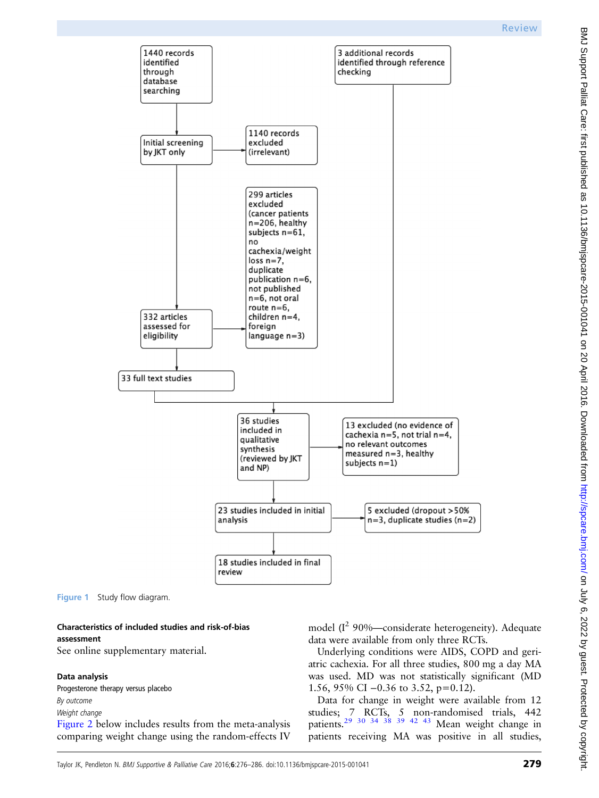<span id="page-3-0"></span>

Figure 1 Study flow diagram.

#### Characteristics of included studies and risk-of-bias assessment

See online [supplementary material](http://dx.doi.org/10.1136/bmjspcare-2015-001041).

#### Data analysis

Progesterone therapy versus placebo By outcome<br>Weight change

[Figure 2](#page-5-0) below includes results from the meta-analysis comparing weight change using the random-effects IV model  $(I^2 90\%$ —considerate heterogeneity). Adequate data were available from only three RCTs.

Underlying conditions were AIDS, COPD and geriatric cachexia. For all three studies, 800 mg a day MA was used. MD was not statistically significant (MD 1.56, 95% CI −0.36 to 3.52, p=0.12).

Data for change in weight were available from 12 studies; 7 RCTs, 5 non-randomised trials, 442 patients.<sup>29</sup> <sup>30</sup> <sup>34</sup> <sup>38</sup> <sup>39</sup> <sup>42</sup> <sup>43</sup> Mean weight change in patients receiving MA was positive in all studies,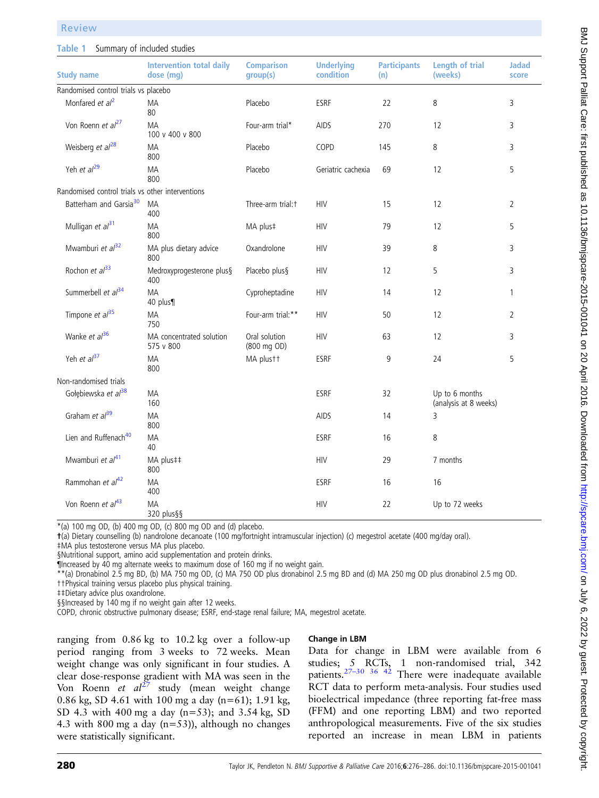#### <span id="page-4-0"></span>Table 1 Summary of included studies

| <b>Study name</b>                                | <b>Intervention total daily</b><br>dose (mg) | <b>Comparison</b><br>group(s) | <b>Underlying</b><br>condition | <b>Participants</b><br>(n) | <b>Length of trial</b><br>(weeks)       | <b>Jadac</b><br>score |
|--------------------------------------------------|----------------------------------------------|-------------------------------|--------------------------------|----------------------------|-----------------------------------------|-----------------------|
| Randomised control trials vs placebo             |                                              |                               |                                |                            |                                         |                       |
| Monfared et al <sup>2</sup>                      | MA<br>80                                     | Placebo                       | <b>ESRF</b>                    | 22                         | 8                                       | 3                     |
| Von Roenn et al <sup>27</sup>                    | MA<br>100 v 400 v 800                        | Four-arm trial*               | AIDS                           | 270                        | 12                                      | 3                     |
| Weisberg et $al^{28}$                            | MA<br>800                                    | Placebo                       | COPD                           | 145                        | 8                                       | 3                     |
| Yeh et al <sup>29</sup>                          | MA<br>800                                    | Placebo                       | Geriatric cachexia             | 69                         | 12                                      | 5                     |
| Randomised control trials vs other interventions |                                              |                               |                                |                            |                                         |                       |
| Batterham and Garsia <sup>30</sup>               | MA<br>400                                    | Three-arm trial: t            | <b>HIV</b>                     | 15                         | 12                                      | $\overline{2}$        |
| Mulligan et al <sup>31</sup>                     | МA<br>800                                    | MA plus‡                      | <b>HIV</b>                     | 79                         | 12                                      | 5                     |
| Mwamburi et al <sup>32</sup>                     | MA plus dietary advice<br>800                | Oxandrolone                   | <b>HIV</b>                     | 39                         | 8                                       | 3                     |
| Rochon et $al^{33}$                              | Medroxyprogesterone plus§<br>400             | Placebo plus§                 | <b>HIV</b>                     | 12                         | 5                                       | 3                     |
| Summerbell et al <sup>34</sup>                   | MA<br>40 plus¶                               | Cyproheptadine                | <b>HIV</b>                     | 14                         | 12                                      | $\mathbf{1}$          |
| Timpone et $al^{35}$                             | MA<br>750                                    | Four-arm trial:**             | <b>HIV</b>                     | 50                         | 12                                      | $\overline{2}$        |
| Wanke et al <sup>36</sup>                        | MA concentrated solution<br>575 v 800        | Oral solution<br>(800 mg OD)  | <b>HIV</b>                     | 63                         | 12                                      | 3                     |
| Yeh et al <sup>37</sup>                          | MA<br>800                                    | MA plustt                     | ESRF                           | 9                          | 24                                      | 5                     |
| Non-randomised trials                            |                                              |                               |                                |                            |                                         |                       |
| Gołębiewska et al <sup>38</sup>                  | MA<br>160                                    |                               | <b>ESRF</b>                    | 32                         | Up to 6 months<br>(analysis at 8 weeks) |                       |
| Graham et al <sup>39</sup>                       | <b>MA</b><br>800                             |                               | AIDS                           | 14                         | 3                                       |                       |
| Lien and Ruffenach <sup>40</sup>                 | MA<br>40                                     |                               | <b>ESRF</b>                    | 16                         | 8                                       |                       |
| Mwamburi et al <sup>41</sup>                     | MA plus##<br>800                             |                               | <b>HIV</b>                     | 29                         | 7 months                                |                       |
| Rammohan et al <sup>42</sup>                     | <b>MA</b><br>400                             |                               | <b>ESRF</b>                    | 16                         | 16                                      |                       |
| Von Roenn et al <sup>43</sup>                    | MA<br>320 plus§§                             |                               | <b>HIV</b>                     | 22                         | Up to 72 weeks                          |                       |

 $*(a)$  100 mg OD, (b) 400 mg OD, (c) 800 mg OD and (d) placebo.

†(a) Dietary counselling (b) nandrolone decanoate (100 mg/fortnight intramuscular injection) (c) megestrol acetate (400 mg/day oral).

‡MA plus testosterone versus MA plus placebo.

§Nutritional support, amino acid supplementation and protein drinks.

¶Increased by 40 mg alternate weeks to maximum dose of 160 mg if no weight gain.

\*\*(a) Dronabinol 2.5 mg BD, (b) MA 750 mg OD, (c) MA 750 OD plus dronabinol 2.5 mg BD and (d) MA 250 mg OD plus dronabinol 2.5 mg OD. ††Physical training versus placebo plus physical training.

‡‡Dietary advice plus oxandrolone.

§§Increased by 140 mg if no weight gain after 12 weeks.

COPD, chronic obstructive pulmonary disease; ESRF, end-stage renal failure; MA, megestrol acetate.

ranging from 0.86 kg to 10.2 kg over a follow-up period ranging from 3 weeks to 72 weeks. Mean weight change was only significant in four studies. A clear dose-response gradient with MA was seen in the Von Roenn et  $al^{27}$  $al^{27}$  $al^{27}$  study (mean weight change 0.86 kg, SD 4.61 with 100 mg a day (n=61); 1.91 kg, SD 4.3 with 400 mg a day (n=53); and 3.54 kg, SD 4.3 with 800 mg a day (n=53)), although no changes were statistically significant.

#### Change in LBM

Data for change in LBM were available from 6 studies; 5 RCTs, 1 non-randomised trial, 342 patients.<sup>27–[30 36](#page-9-0) [42](#page-10-0)</sup> There were inadequate available RCT data to perform meta-analysis. Four studies used bioelectrical impedance (three reporting fat-free mass (FFM) and one reporting LBM) and two reported anthropological measurements. Five of the six studies reported an increase in mean LBM in patients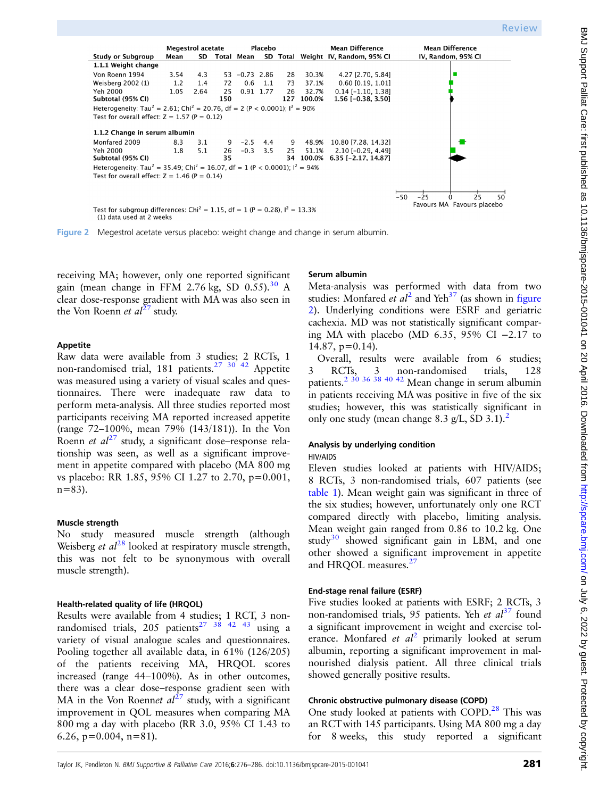<span id="page-5-0"></span>

Figure 2 Megestrol acetate versus placebo: weight change and change in serum albumin.

receiving MA; however, only one reported significant gain (mean change in FFM 2.76 kg, SD  $0.55$ ).<sup>[30](#page-9-0)</sup> A clear dose-response gradient with MA was also seen in the Von Roenn *et al*<sup>[27](#page-9-0)</sup> study.

#### Appetite

Raw data were available from 3 studies; 2 RCTs, 1 non-randomised trial, 181 patients.<sup>27</sup> 30<sup>42</sup> Appetite was measured using a variety of visual scales and questionnaires. There were inadequate raw data to perform meta-analysis. All three studies reported most participants receiving MA reported increased appetite (range 72–100%, mean 79% (143/181)). In the Von Roenn et  $al^{27}$  $al^{27}$  $al^{27}$  study, a significant dose–response relationship was seen, as well as a significant improvement in appetite compared with placebo (MA 800 mg vs placebo: RR 1.85, 95% CI 1.27 to 2.70, p=0.001,  $n=83$ ).

## Muscle strength

No study measured muscle strength (although Weisberg et  $al^{28}$  $al^{28}$  $al^{28}$  looked at respiratory muscle strength, this was not felt to be synonymous with overall muscle strength).

## Health-related quality of life (HRQOL)

Results were available from 4 studies; 1 RCT, 3 nonrandomised trials,  $205$  patients<sup>[27](#page-9-0)</sup> [38 42 43](#page-10-0) using a variety of visual analogue scales and questionnaires. Pooling together all available data, in 61% (126/205) of the patients receiving MA, HRQOL scores increased (range 44–100%). As in other outcomes, there was a clear dose–response gradient seen with MA in the Von Roennet  $al^{27}$  $al^{27}$  $al^{27}$  study, with a significant improvement in QOL measures when comparing MA 800 mg a day with placebo (RR 3.0, 95% CI 1.43 to 6.26,  $p=0.004$ ,  $n=81$ ).

## Serum albumin

Meta-analysis was performed with data from two studies: Monfared et  $al^2$  $al^2$  and Yeh<sup>37</sup> (as shown in figure 2). Underlying conditions were ESRF and geriatric cachexia. MD was not statistically significant comparing MA with placebo (MD 6.35, 95% CI −2.17 to 14.87, p=0.14).

Overall, results were available from 6 studies; 3 RCTs, 3 non-randomised trials, 128 patients.<sup>[2](#page-8-0) [30 36](#page-9-0) [38 40 42](#page-10-0)</sup> Mean change in serum albumin in patients receiving MA was positive in five of the six studies; however, this was statistically significant in only one study (mean change 8.3 g/L, SD 3.1).<sup>[2](#page-8-0)</sup>

## Analysis by underlying condition

#### HIV/AIDS

Eleven studies looked at patients with HIV/AIDS; 8 RCTs, 3 non-randomised trials, 607 patients (see [table 1](#page-4-0)). Mean weight gain was significant in three of the six studies; however, unfortunately only one RCT compared directly with placebo, limiting analysis. Mean weight gain ranged from 0.86 to 10.2 kg. One study $30$  showed significant gain in LBM, and one other showed a significant improvement in appetite and HRQOL measures.<sup>[27](#page-9-0)</sup>

#### End-stage renal failure (ESRF)

Five studies looked at patients with ESRF; 2 RCTs, 3 non-randomised trials, 95 patients. Yeh et  $al<sup>37</sup>$  $al<sup>37</sup>$  $al<sup>37</sup>$  found a significant improvement in weight and exercise tolerance. Monfared et  $al^2$  $al^2$  primarily looked at serum albumin, reporting a significant improvement in malnourished dialysis patient. All three clinical trials showed generally positive results.

## Chronic obstructive pulmonary disease (COPD)

One study looked at patients with COPD.<sup>[28](#page-9-0)</sup> This was an RCTwith 145 participants. Using MA 800 mg a day for 8 weeks, this study reported a significant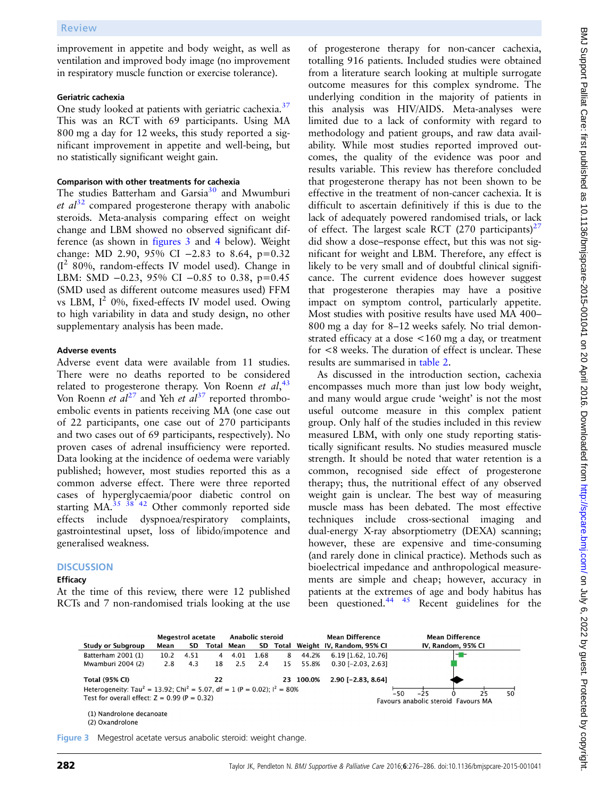improvement in appetite and body weight, as well as ventilation and improved body image (no improvement in respiratory muscle function or exercise tolerance).

#### Geriatric cachexia

One study looked at patients with geriatric cachexia.<sup>[37](#page-10-0)</sup> This was an RCT with 69 participants. Using MA 800 mg a day for 12 weeks, this study reported a significant improvement in appetite and well-being, but no statistically significant weight gain.

## Comparison with other treatments for cachexia

The studies Batterham and Garsia<sup>[30](#page-9-0)</sup> and Mwumburi et  $al^{32}$  $al^{32}$  $al^{32}$  compared progesterone therapy with anabolic steroids. Meta-analysis comparing effect on weight change and LBM showed no observed significant difference (as shown in figures 3 and [4](#page-7-0) below). Weight change: MD 2.90, 95% CI −2.83 to 8.64, p=0.32  $(I^2 80\%$ , random-effects IV model used). Change in LBM: SMD −0.23, 95% CI −0.85 to 0.38, p=0.45 (SMD used as different outcome measures used) FFM vs LBM,  $I^2$  0%, fixed-effects IV model used. Owing to high variability in data and study design, no other supplementary analysis has been made.

#### Adverse events

Adverse event data were available from 11 studies. There were no deaths reported to be considered related to progesterone therapy. Von Roenn et  $al$ ,  $43$ Von Roenn et  $aI^{27}$  $aI^{27}$  $aI^{27}$  and Yeh et  $aI^{37}$  $aI^{37}$  $aI^{37}$  reported thromboembolic events in patients receiving MA (one case out of 22 participants, one case out of 270 participants and two cases out of 69 participants, respectively). No proven cases of adrenal insufficiency were reported. Data looking at the incidence of oedema were variably published; however, most studies reported this as a common adverse effect. There were three reported cases of hyperglycaemia/poor diabetic control on starting MA. $35\frac{38}{42}$  $35\frac{38}{42}$  Other commonly reported side effects include dyspnoea/respiratory complaints, gastrointestinal upset, loss of libido/impotence and generalised weakness.

#### **DISCUSSION**

#### Efficacy

At the time of this review, there were 12 published RCTs and 7 non-randomised trials looking at the use

of progesterone therapy for non-cancer cachexia, totalling 916 patients. Included studies were obtained from a literature search looking at multiple surrogate outcome measures for this complex syndrome. The underlying condition in the majority of patients in this analysis was HIV/AIDS. Meta-analyses were limited due to a lack of conformity with regard to methodology and patient groups, and raw data availability. While most studies reported improved outcomes, the quality of the evidence was poor and results variable. This review has therefore concluded that progesterone therapy has not been shown to be effective in the treatment of non-cancer cachexia. It is difficult to ascertain definitively if this is due to the lack of adequately powered randomised trials, or lack of effect. The largest scale RCT (270 participants)<sup>27</sup> did show a dose–response effect, but this was not significant for weight and LBM. Therefore, any effect is likely to be very small and of doubtful clinical significance. The current evidence does however suggest that progesterone therapies may have a positive impact on symptom control, particularly appetite. Most studies with positive results have used MA 400– 800 mg a day for 8–12 weeks safely. No trial demonstrated efficacy at a dose <160 mg a day, or treatment for <8 weeks. The duration of effect is unclear. These results are summarised in [table 2.](#page-7-0)

As discussed in the introduction section, cachexia encompasses much more than just low body weight, and many would argue crude 'weight' is not the most useful outcome measure in this complex patient group. Only half of the studies included in this review measured LBM, with only one study reporting statistically significant results. No studies measured muscle strength. It should be noted that water retention is a common, recognised side effect of progesterone therapy; thus, the nutritional effect of any observed weight gain is unclear. The best way of measuring muscle mass has been debated. The most effective techniques include cross-sectional imaging and dual-energy X-ray absorptiometry (DEXA) scanning; however, these are expensive and time-consuming (and rarely done in clinical practice). Methods such as bioelectrical impedance and anthropological measurements are simple and cheap; however, accuracy in patients at the extremes of age and body habitus has been questioned.<sup>[44 45](#page-10-0)</sup> Recent guidelines for the



(2) Oxandrolone

Figure 3 Megestrol acetate versus anabolic steroid: weight change.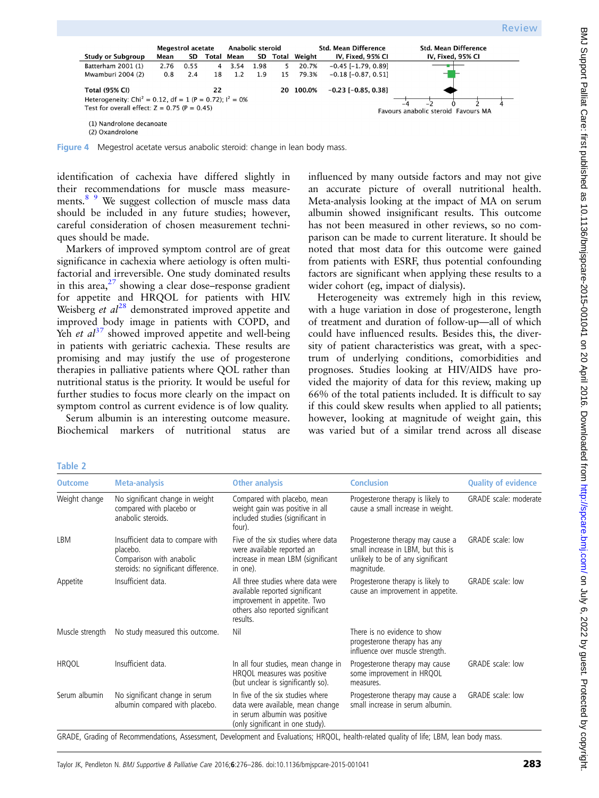<span id="page-7-0"></span>

Figure 4 Megestrol acetate versus anabolic steroid: change in lean body mass.

identification of cachexia have differed slightly in their recommendations for muscle mass measurements.<sup>8</sup> <sup>9</sup> We suggest collection of muscle mass data should be included in any future studies; however, careful consideration of chosen measurement techniques should be made.

Markers of improved symptom control are of great significance in cachexia where aetiology is often multifactorial and irreversible. One study dominated results in this area, $2^7$  showing a clear dose–response gradient for appetite and HRQOL for patients with HIV. Weisberg *et*  $al^{28}$  $al^{28}$  $al^{28}$  demonstrated improved appetite and improved body image in patients with COPD, and Yeh et  $al^{37}$  $al^{37}$  $al^{37}$  showed improved appetite and well-being in patients with geriatric cachexia. These results are promising and may justify the use of progesterone therapies in palliative patients where QOL rather than nutritional status is the priority. It would be useful for further studies to focus more clearly on the impact on symptom control as current evidence is of low quality.

Serum albumin is an interesting outcome measure. Biochemical markers of nutritional status are influenced by many outside factors and may not give an accurate picture of overall nutritional health. Meta-analysis looking at the impact of MA on serum albumin showed insignificant results. This outcome has not been measured in other reviews, so no comparison can be made to current literature. It should be noted that most data for this outcome were gained from patients with ESRF, thus potential confounding factors are significant when applying these results to a wider cohort (eg, impact of dialysis).

Heterogeneity was extremely high in this review, with a huge variation in dose of progesterone, length of treatment and duration of follow-up—all of which could have influenced results. Besides this, the diversity of patient characteristics was great, with a spectrum of underlying conditions, comorbidities and prognoses. Studies looking at HIV/AIDS have provided the majority of data for this review, making up 66% of the total patients included. It is difficult to say if this could skew results when applied to all patients; however, looking at magnitude of weight gain, this was varied but of a similar trend across all disease

|        | ٧ |
|--------|---|
|        |   |
|        |   |
| ______ |   |

| <b>Outcome</b>  | <b>Meta-analysis</b>                                                                                              | <b>Other analysis</b>                                                                                                                               | <b>Conclusion</b>                                                                                                                                                                                                                                                                                                                                                                                                                                                                                                                    | <b>Quality of evidence</b>   |
|-----------------|-------------------------------------------------------------------------------------------------------------------|-----------------------------------------------------------------------------------------------------------------------------------------------------|--------------------------------------------------------------------------------------------------------------------------------------------------------------------------------------------------------------------------------------------------------------------------------------------------------------------------------------------------------------------------------------------------------------------------------------------------------------------------------------------------------------------------------------|------------------------------|
| Weight change   | No significant change in weight<br>compared with placebo or<br>anabolic steroids.                                 | Compared with placebo, mean<br>weight gain was positive in all<br>included studies (significant in<br>four).                                        | Progesterone therapy is likely to<br>cause a small increase in weight.                                                                                                                                                                                                                                                                                                                                                                                                                                                               | <b>GRADE</b> scale: moderate |
| LBM             | Insufficient data to compare with<br>placebo.<br>Comparison with anabolic<br>steroids: no significant difference. | Five of the six studies where data<br>were available reported an<br>increase in mean LBM (significant<br>in one).                                   | Progesterone therapy may cause a<br>small increase in LBM, but this is<br>unlikely to be of any significant<br>magnitude.                                                                                                                                                                                                                                                                                                                                                                                                            | GRADE scale: low             |
| Appetite        | Insufficient data.                                                                                                | All three studies where data were<br>available reported significant<br>improvement in appetite. Two<br>others also reported significant<br>results. | Progesterone therapy is likely to<br>cause an improvement in appetite.                                                                                                                                                                                                                                                                                                                                                                                                                                                               | GRADE scale: low             |
| Muscle strength | No study measured this outcome.                                                                                   | Nil                                                                                                                                                 | There is no evidence to show<br>progesterone therapy has any<br>influence over muscle strength.                                                                                                                                                                                                                                                                                                                                                                                                                                      |                              |
| <b>HRQOL</b>    | Insufficient data.                                                                                                | In all four studies, mean change in<br>HRQOL measures was positive<br>(but unclear is significantly so).                                            | Progesterone therapy may cause<br>some improvement in HRQOL<br>measures.                                                                                                                                                                                                                                                                                                                                                                                                                                                             | GRADE scale: low             |
| Serum albumin   | No significant change in serum<br>albumin compared with placebo.                                                  | In five of the six studies where<br>data were available, mean change<br>in serum albumin was positive<br>(only significant in one study).           | Progesterone therapy may cause a<br>small increase in serum albumin.<br>$\mathcal{L} = \mathcal{L} = \mathcal{L} = \mathcal{L} = \mathcal{L} = \mathcal{L} = \mathcal{L} = \mathcal{L} = \mathcal{L} = \mathcal{L} = \mathcal{L} = \mathcal{L} = \mathcal{L} = \mathcal{L} = \mathcal{L} = \mathcal{L} = \mathcal{L} = \mathcal{L} = \mathcal{L} = \mathcal{L} = \mathcal{L} = \mathcal{L} = \mathcal{L} = \mathcal{L} = \mathcal{L} = \mathcal{L} = \mathcal{L} = \mathcal{L} = \mathcal{L} = \mathcal{L} = \mathcal{L} = \mathcal$ | GRADE scale: low             |

GRADE, Grading of Recommendations, Assessment, Development and Evaluations; HRQOL, health-related quality of life; LBM, lean body mass.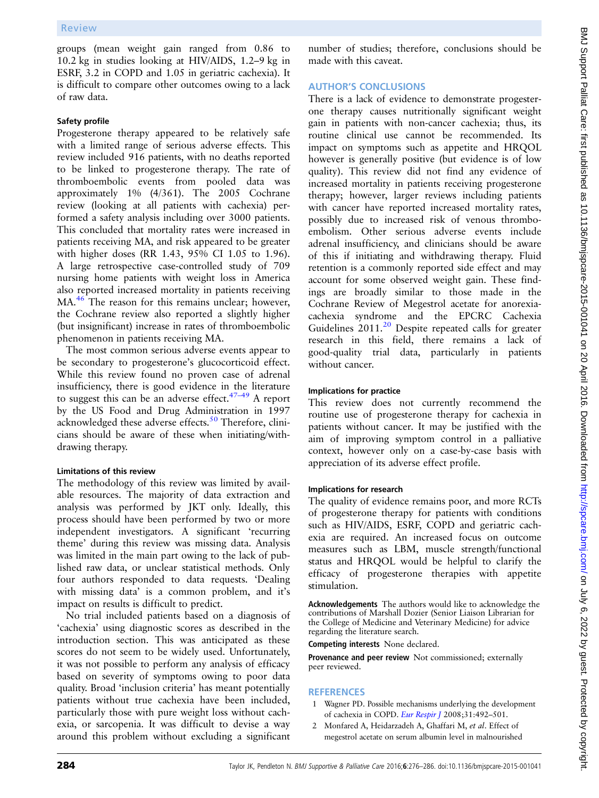<span id="page-8-0"></span>groups (mean weight gain ranged from 0.86 to 10.2 kg in studies looking at HIV/AIDS, 1.2–9 kg in ESRF, 3.2 in COPD and 1.05 in geriatric cachexia). It is difficult to compare other outcomes owing to a lack of raw data.

#### Safety profile

Progesterone therapy appeared to be relatively safe with a limited range of serious adverse effects. This review included 916 patients, with no deaths reported to be linked to progesterone therapy. The rate of thromboembolic events from pooled data was approximately 1% (4/361). The 2005 Cochrane review (looking at all patients with cachexia) performed a safety analysis including over 3000 patients. This concluded that mortality rates were increased in patients receiving MA, and risk appeared to be greater with higher doses (RR 1.43, 95% CI 1.05 to 1.96). A large retrospective case-controlled study of 709 nursing home patients with weight loss in America also reported increased mortality in patients receiving MA.<sup>[46](#page-10-0)</sup> The reason for this remains unclear; however, the Cochrane review also reported a slightly higher (but insignificant) increase in rates of thromboembolic phenomenon in patients receiving MA.

The most common serious adverse events appear to be secondary to progesterone's glucocorticoid effect. While this review found no proven case of adrenal insufficiency, there is good evidence in the literature to suggest this can be an adverse effect. $47-49$  $47-49$  A report by the US Food and Drug Administration in 1997 acknowledged these adverse effects. $50$  Therefore, clinicians should be aware of these when initiating/withdrawing therapy.

## Limitations of this review

The methodology of this review was limited by available resources. The majority of data extraction and analysis was performed by JKT only. Ideally, this process should have been performed by two or more independent investigators. A significant 'recurring theme' during this review was missing data. Analysis was limited in the main part owing to the lack of published raw data, or unclear statistical methods. Only four authors responded to data requests. 'Dealing with missing data' is a common problem, and it's impact on results is difficult to predict.

No trial included patients based on a diagnosis of 'cachexia' using diagnostic scores as described in the introduction section. This was anticipated as these scores do not seem to be widely used. Unfortunately, it was not possible to perform any analysis of efficacy based on severity of symptoms owing to poor data quality. Broad 'inclusion criteria' has meant potentially patients without true cachexia have been included, particularly those with pure weight loss without cachexia, or sarcopenia. It was difficult to devise a way around this problem without excluding a significant

number of studies; therefore, conclusions should be made with this caveat.

## AUTHOR'S CONCLUSIONS

There is a lack of evidence to demonstrate progesterone therapy causes nutritionally significant weight gain in patients with non-cancer cachexia; thus, its routine clinical use cannot be recommended. Its impact on symptoms such as appetite and HRQOL however is generally positive (but evidence is of low quality). This review did not find any evidence of increased mortality in patients receiving progesterone therapy; however, larger reviews including patients with cancer have reported increased mortality rates, possibly due to increased risk of venous thromboembolism. Other serious adverse events include adrenal insufficiency, and clinicians should be aware of this if initiating and withdrawing therapy. Fluid retention is a commonly reported side effect and may account for some observed weight gain. These findings are broadly similar to those made in the Cochrane Review of Megestrol acetate for anorexiacachexia syndrome and the EPCRC Cachexia Guidelines [20](#page-9-0)11.<sup>20</sup> Despite repeated calls for greater research in this field, there remains a lack of good-quality trial data, particularly in patients without cancer.

## Implications for practice

This review does not currently recommend the routine use of progesterone therapy for cachexia in patients without cancer. It may be justified with the aim of improving symptom control in a palliative context, however only on a case-by-case basis with appreciation of its adverse effect profile.

## Implications for research

The quality of evidence remains poor, and more RCTs of progesterone therapy for patients with conditions such as HIV/AIDS, ESRF, COPD and geriatric cachexia are required. An increased focus on outcome measures such as LBM, muscle strength/functional status and HRQOL would be helpful to clarify the efficacy of progesterone therapies with appetite stimulation.

Acknowledgements The authors would like to acknowledge the contributions of Marshall Dozier (Senior Liaison Librarian for the College of Medicine and Veterinary Medicine) for advice regarding the literature search.

Competing interests None declared.

Provenance and peer review Not commissioned; externally peer reviewed.

## **REFERENCES**

- 1 Wagner PD. Possible mechanisms underlying the development of cachexia in COPD. [Eur Respir J](http://dx.doi.org/10.1183/09031936.00074807) 2008;31:492–501.
- 2 Monfared A, Heidarzadeh A, Ghaffari M, et al. Effect of megestrol acetate on serum albumin level in malnourished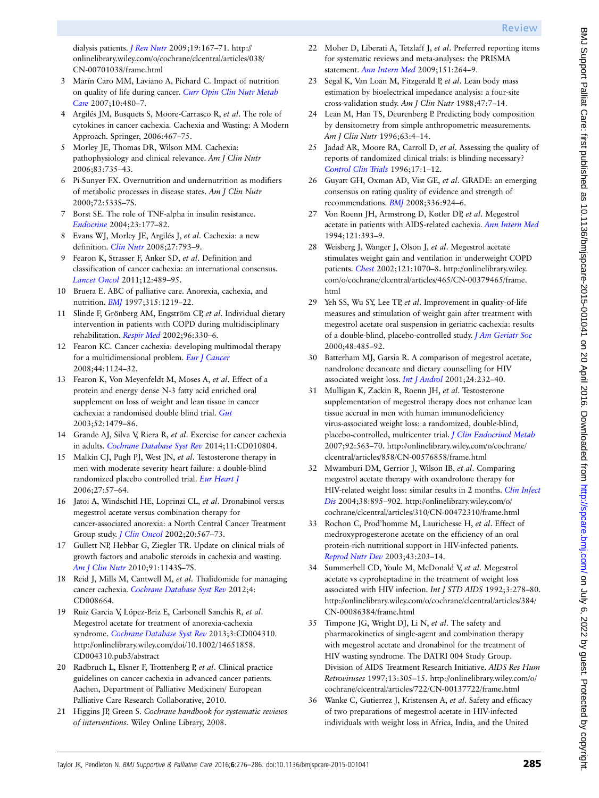<span id="page-9-0"></span>dialysis patients. [J Ren Nutr](http://dx.doi.org/10.1053/j.jrn.2008.11.003) 2009;19:167–71. [http://](http://onlinelibrary.wiley.com/o/cochrane/clcentral/articles/038/CN-00701038/frame.html) [onlinelibrary.wiley.com/o/cochrane/clcentral/articles/038/](http://onlinelibrary.wiley.com/o/cochrane/clcentral/articles/038/CN-00701038/frame.html) [CN-00701038/frame.html](http://onlinelibrary.wiley.com/o/cochrane/clcentral/articles/038/CN-00701038/frame.html)

- 3 Marín Caro MM, Laviano A, Pichard C. Impact of nutrition on quality of life during cancer. [Curr Opin Clin Nutr Metab](http://dx.doi.org/10.1097/MCO.0b013e3281e2c983) [Care](http://dx.doi.org/10.1097/MCO.0b013e3281e2c983) 2007;10:480-7.
- 4 Argilés JM, Busquets S, Moore-Carrasco R, et al. The role of cytokines in cancer cachexia. Cachexia and Wasting: A Modern Approach. Springer, 2006:467–75.
- 5 Morley JE, Thomas DR, Wilson MM. Cachexia: pathophysiology and clinical relevance. Am J Clin Nutr 2006;83:735–43.
- 6 Pi-Sunyer FX. Overnutrition and undernutrition as modifiers of metabolic processes in disease states. Am J Clin Nutr 2000;72:533S–7S.
- 7 Borst SE. The role of TNF-alpha in insulin resistance. [Endocrine](http://dx.doi.org/10.1385/ENDO:23:2-3:177) 2004;23:177–82.
- 8 Evans WJ, Morley JE, Argilés J, et al. Cachexia: a new definition. [Clin Nutr](http://dx.doi.org/10.1016/j.clnu.2008.06.013) 2008;27:793–9.
- 9 Fearon K, Strasser F, Anker SD, et al. Definition and classification of cancer cachexia: an international consensus. [Lancet Oncol](http://dx.doi.org/10.1016/S1470-2045(10)70218-7) 2011;12:489–95.
- 10 Bruera E. ABC of palliative care. Anorexia, cachexia, and nutrition. [BMJ](http://dx.doi.org/10.1136/bmj.315.7117.1219) 1997;315:1219–22.
- 11 Slinde F, Grönberg AM, Engström CP, et al. Individual dietary intervention in patients with COPD during multidisciplinary rehabilitation. [Respir Med](http://dx.doi.org/10.1053/rmed.2001.1278) 2002;96:330-6.
- 12 Fearon KC. Cancer cachexia: developing multimodal therapy for a multidimensional problem. [Eur J Cancer](http://dx.doi.org/10.1016/j.ejca.2008.02.033) 2008;44:1124–32.
- 13 Fearon K, Von Meyenfeldt M, Moses A, et al. Effect of a protein and energy dense N-3 fatty acid enriched oral supplement on loss of weight and lean tissue in cancer cachexia: a randomised double blind trial. [Gut](http://dx.doi.org/10.1136/gut.52.10.1479) 2003;52:1479–86.
- 14 Grande AJ, Silva V, Riera R, et al. Exercise for cancer cachexia in adults. [Cochrane Database Syst Rev](http://dx.doi.org/10.1002/14651858.CD010804.pub2) 2014;11:CD010804.
- 15 Malkin CJ, Pugh PJ, West JN, et al. Testosterone therapy in men with moderate severity heart failure: a double-blind randomized placebo controlled trial. [Eur Heart J](http://dx.doi.org/10.1093/eurheartj/ehi443) 2006;27:57–64.
- 16 Jatoi A, Windschitl HE, Loprinzi CL, et al. Dronabinol versus megestrol acetate versus combination therapy for cancer-associated anorexia: a North Central Cancer Treatment Group study. *[J Clin Oncol](http://dx.doi.org/10.1200/JCO.20.2.567)* 2002;20:567-73.
- 17 Gullett NP, Hebbar G, Ziegler TR. Update on clinical trials of growth factors and anabolic steroids in cachexia and wasting. [Am J Clin Nutr](http://dx.doi.org/10.3945/ajcn.2010.28608E) 2010;91:1143S–7S.
- 18 Reid J, Mills M, Cantwell M, et al. Thalidomide for managing cancer cachexia. [Cochrane Database Syst Rev](http://dx.doi.org/10.1002/14651858.CD008664.pub2) 2012;4: CD008664.
- 19 Ruiz Garcia V, López-Briz E, Carbonell Sanchis R, et al. Megestrol acetate for treatment of anorexia-cachexia syndrome. [Cochrane Database Syst Rev](http://dx.doi.org/10.1002/14651858.CD004310.pub3) 2013;3:CD004310. [http://onlinelibrary.wiley.com/doi/10.1002/14651858.](http://onlinelibrary.wiley.com/doi/10.1002/14651858.CD004310.pub3/abstract) [CD004310.pub3/abstract](http://onlinelibrary.wiley.com/doi/10.1002/14651858.CD004310.pub3/abstract)
- 20 Radbruch L, Elsner F, Trottenberg P, et al. Clinical practice guidelines on cancer cachexia in advanced cancer patients. Aachen, Department of Palliative Medicinen/ European Palliative Care Research Collaborative, 2010.
- 21 Higgins JP, Green S. Cochrane handbook for systematic reviews of interventions. Wiley Online Library, 2008.
- 22 Moher D, Liberati A, Tetzlaff J, et al. Preferred reporting items for systematic reviews and meta-analyses: the PRISMA statement. [Ann Intern Med](http://dx.doi.org/10.7326/0003-4819-151-4-200908180-00135) 2009;151:264-9.
- 23 Segal K, Van Loan M, Fitzgerald P, et al. Lean body mass estimation by bioelectrical impedance analysis: a four-site cross-validation study. Am J Clin Nutr 1988;47:7–14.
- 24 Lean M, Han TS, Deurenberg P. Predicting body composition by densitometry from simple anthropometric measurements. Am J Clin Nutr 1996;63:4–14.
- 25 Jadad AR, Moore RA, Carroll D, et al. Assessing the quality of reports of randomized clinical trials: is blinding necessary? [Control Clin Trials](http://dx.doi.org/10.1016/0197-2456(95)00134-4) 1996;17:1–12.
- 26 Guyatt GH, Oxman AD, Vist GE, et al. GRADE: an emerging consensus on rating quality of evidence and strength of recommendations. [BMJ](http://dx.doi.org/10.1136/bmj.39489.470347.AD) 2008;336:924–6.
- 27 Von Roenn JH, Armstrong D, Kotler DP, et al. Megestrol acetate in patients with AIDS-related cachexia. [Ann Intern Med](http://dx.doi.org/10.7326/0003-4819-121-6-199409150-00001) 1994;121:393–9.
- 28 Weisberg J, Wanger J, Olson J, et al. Megestrol acetate stimulates weight gain and ventilation in underweight COPD patients. [Chest](http://dx.doi.org/10.1378/chest.121.4.1070) 2002;121:1070–8. [http://onlinelibrary.wiley.](http://onlinelibrary.wiley.com/o/cochrane/clcentral/articles/465/CN-00379465/frame.html) [com/o/cochrane/clcentral/articles/465/CN-00379465/frame.](http://onlinelibrary.wiley.com/o/cochrane/clcentral/articles/465/CN-00379465/frame.html) [html](http://onlinelibrary.wiley.com/o/cochrane/clcentral/articles/465/CN-00379465/frame.html)
- 29 Yeh SS, Wu SY, Lee TP, et al. Improvement in quality-of-life measures and stimulation of weight gain after treatment with megestrol acetate oral suspension in geriatric cachexia: results of a double-blind, placebo-controlled study. *[J Am Geriatr Soc](http://dx.doi.org/10.1111/j.1532-5415.2000.tb04993.x)* 2000;48:485–92.
- 30 Batterham MJ, Garsia R. A comparison of megestrol acetate, nandrolone decanoate and dietary counselling for HIV associated weight loss. [Int J Androl](http://dx.doi.org/10.1046/j.1365-2605.2001.00291.x) 2001;24:232-40.
- 31 Mulligan K, Zackin R, Roenn JH, et al. Testosterone supplementation of megestrol therapy does not enhance lean tissue accrual in men with human immunodeficiency virus-associated weight loss: a randomized, double-blind, placebo-controlled, multicenter trial. [J Clin Endocrinol Metab](http://dx.doi.org/10.1210/jc.2006-0954) 2007;92:563–70. [http://onlinelibrary.wiley.com/o/cochrane/](http://onlinelibrary.wiley.com/o/cochrane/clcentral/articles/858/CN-00576858/frame.html) [clcentral/articles/858/CN-00576858/frame.html](http://onlinelibrary.wiley.com/o/cochrane/clcentral/articles/858/CN-00576858/frame.html)
- 32 Mwamburi DM, Gerrior J, Wilson IB, et al. Comparing megestrol acetate therapy with oxandrolone therapy for HIV-related weight loss: similar results in 2 months. [Clin Infect](http://dx.doi.org/10.1086/381977) [Dis](http://dx.doi.org/10.1086/381977) 2004;38:895–902. [http://onlinelibrary.wiley.com/o/](http://onlinelibrary.wiley.com/o/cochrane/clcentral/articles/310/CN-00472310/frame.html) [cochrane/clcentral/articles/310/CN-00472310/frame.html](http://onlinelibrary.wiley.com/o/cochrane/clcentral/articles/310/CN-00472310/frame.html)
- 33 Rochon C, Prod'homme M, Laurichesse H, et al. Effect of medroxyprogesterone acetate on the efficiency of an oral protein-rich nutritional support in HIV-infected patients. [Reprod Nutr Dev](http://dx.doi.org/10.1051/rnd:2003017) 2003;43:203–14.
- 34 Summerbell CD, Youle M, McDonald V, et al. Megestrol acetate vs cyproheptadine in the treatment of weight loss associated with HIV infection. Int J STD AIDS 1992;3:278–80. [http://onlinelibrary.wiley.com/o/cochrane/clcentral/articles/384/](http://onlinelibrary.wiley.com/o/cochrane/clcentral/articles/384/CN-00086384/frame.html) [CN-00086384/frame.html](http://onlinelibrary.wiley.com/o/cochrane/clcentral/articles/384/CN-00086384/frame.html)
- 35 Timpone JG, Wright DJ, Li N, et al. The safety and pharmacokinetics of single-agent and combination therapy with megestrol acetate and dronabinol for the treatment of HIV wasting syndrome. The DATRI 004 Study Group. Division of AIDS Treatment Research Initiative. AIDS Res Hum Retroviruses 1997;13:305–15. [http://onlinelibrary.wiley.com/o/](http://onlinelibrary.wiley.com/o/cochrane/clcentral/articles/722/CN-00137722/frame.html) [cochrane/clcentral/articles/722/CN-00137722/frame.html](http://onlinelibrary.wiley.com/o/cochrane/clcentral/articles/722/CN-00137722/frame.html)
- 36 Wanke C, Gutierrez J, Kristensen A, et al. Safety and efficacy of two preparations of megestrol acetate in HIV-infected individuals with weight loss in Africa, India, and the United

BMJ Support Palliat Care: first published as 10.1136/bmjspcare-2015-001041 on 20 April 2016. Downloaded from http://spcare.bmj.com/ on July 6, 2022 by guest. Protected by copyright BMJ Support Palliat Care: first published as 10.1136/bmjspcare-2015-001041 on 20 April 2016. Downloaded from <http://spcare.bmj.com/> on July 6, 2022 by guest. Protected by copyright.